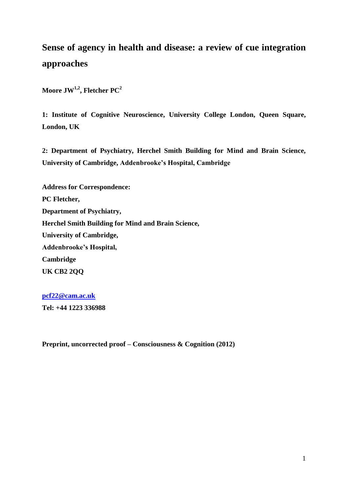# **Sense of agency in health and disease: a review of cue integration approaches**

**Moore JW1,2, Fletcher PC<sup>2</sup>**

**1: Institute of Cognitive Neuroscience, University College London, Queen Square, London, UK**

**2: Department of Psychiatry, Herchel Smith Building for Mind and Brain Science, University of Cambridge, Addenbrooke's Hospital, Cambridge**

**Address for Correspondence: PC Fletcher, Department of Psychiatry, Herchel Smith Building for Mind and Brain Science, University of Cambridge, Addenbrooke's Hospital, Cambridge UK CB2 2QQ**

**[pcf22@cam.ac.uk](mailto:pcf22@cam.ac.uk) Tel: +44 1223 336988**

**Preprint, uncorrected proof – Consciousness & Cognition (2012)**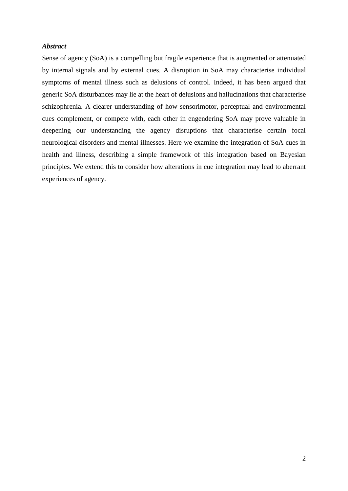# *Abstract*

Sense of agency (SoA) is a compelling but fragile experience that is augmented or attenuated by internal signals and by external cues. A disruption in SoA may characterise individual symptoms of mental illness such as delusions of control. Indeed, it has been argued that generic SoA disturbances may lie at the heart of delusions and hallucinations that characterise schizophrenia. A clearer understanding of how sensorimotor, perceptual and environmental cues complement, or compete with, each other in engendering SoA may prove valuable in deepening our understanding the agency disruptions that characterise certain focal neurological disorders and mental illnesses. Here we examine the integration of SoA cues in health and illness, describing a simple framework of this integration based on Bayesian principles. We extend this to consider how alterations in cue integration may lead to aberrant experiences of agency.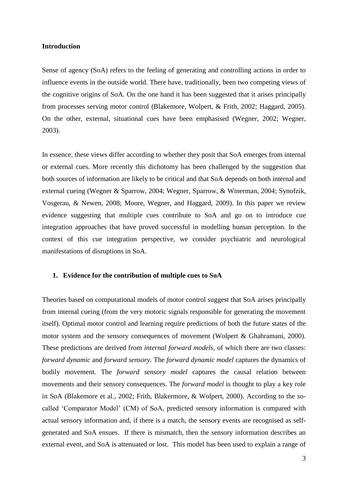# **Introduction**

Sense of agency (SoA) refers to the feeling of generating and controlling actions in order to influence events in the outside world. There have, traditionally, been two competing views of the cognitive origins of SoA. On the one hand it has been suggested that it arises principally from processes serving motor control (Blakemore, Wolpert, & Frith, 2002; Haggard, 2005). On the other, external, situational cues have been emphasised (Wegner, 2002; Wegner, 2003).

In essence, these views differ according to whether they posit that SoA emerges from internal or external cues. More recently this dichotomy has been challenged by the suggestion that both sources of information are likely to be critical and that SoA depends on both internal and external cueing (Wegner & Sparrow, 2004; Wegner, Sparrow, & Winerman, 2004; Synofzik, Vosgerau, & Newen, 2008; Moore, Wegner, and Haggard, 2009). In this paper we review evidence suggesting that multiple cues contribute to SoA and go on to introduce cue integration approaches that have proved successful in modelling human perception. In the context of this cue integration perspective, we consider psychiatric and neurological manifestations of disruptions in SoA.

#### **1. Evidence for the contribution of multiple cues to SoA**

Theories based on computational models of motor control suggest that SoA arises principally from internal cueing (from the very motoric signals responsible for generating the movement itself). Optimal motor control and learning require predictions of both the future states of the motor system and the sensory consequences of movement (Wolpert & Ghahramani, 2000). These predictions are derived from *internal forward models*, of which there are two classes: *forward dynamic* and *forward sensory*. The *forward dynamic model* captures the dynamics of bodily movement. The *forward sensory model* captures the causal relation between movements and their sensory consequences. The *forward model* is thought to play a key role in SoA (Blakemore et al., 2002; Frith, Blakermore, & Wolpert, 2000). According to the socalled 'Comparator Model' (CM) of SoA, predicted sensory information is compared with actual sensory information and, if there is a match, the sensory events are recognised as selfgenerated and SoA ensues. If there is mismatch, then the sensory information describes an external event, and SoA is attenuated or lost. This model has been used to explain a range of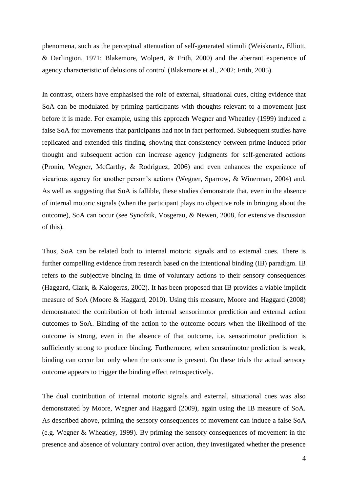phenomena, such as the perceptual attenuation of self-generated stimuli (Weiskrantz, Elliott, & Darlington, 1971; Blakemore, Wolpert, & Frith, 2000) and the aberrant experience of agency characteristic of delusions of control (Blakemore et al., 2002; Frith, 2005).

In contrast, others have emphasised the role of external, situational cues, citing evidence that SoA can be modulated by priming participants with thoughts relevant to a movement just before it is made. For example, using this approach Wegner and Wheatley (1999) induced a false SoA for movements that participants had not in fact performed. Subsequent studies have replicated and extended this finding, showing that consistency between prime-induced prior thought and subsequent action can increase agency judgments for self-generated actions (Pronin, Wegner, McCarthy, & Rodriguez, 2006) and even enhances the experience of vicarious agency for another person's actions (Wegner, Sparrow, & Winerman, 2004) and. As well as suggesting that SoA is fallible, these studies demonstrate that, even in the absence of internal motoric signals (when the participant plays no objective role in bringing about the outcome), SoA can occur (see Synofzik, Vosgerau, & Newen, 2008, for extensive discussion of this).

Thus, SoA can be related both to internal motoric signals and to external cues. There is further compelling evidence from research based on the intentional binding (IB) paradigm. IB refers to the subjective binding in time of voluntary actions to their sensory consequences (Haggard, Clark, & Kalogeras, 2002). It has been proposed that IB provides a viable implicit measure of SoA (Moore & Haggard, 2010). Using this measure, Moore and Haggard (2008) demonstrated the contribution of both internal sensorimotor prediction and external action outcomes to SoA. Binding of the action to the outcome occurs when the likelihood of the outcome is strong, even in the absence of that outcome, i.e. sensorimotor prediction is sufficiently strong to produce binding. Furthermore, when sensorimotor prediction is weak, binding can occur but only when the outcome is present. On these trials the actual sensory outcome appears to trigger the binding effect retrospectively.

The dual contribution of internal motoric signals and external, situational cues was also demonstrated by Moore, Wegner and Haggard (2009), again using the IB measure of SoA. As described above, priming the sensory consequences of movement can induce a false SoA (e.g. Wegner & Wheatley, 1999). By priming the sensory consequences of movement in the presence and absence of voluntary control over action, they investigated whether the presence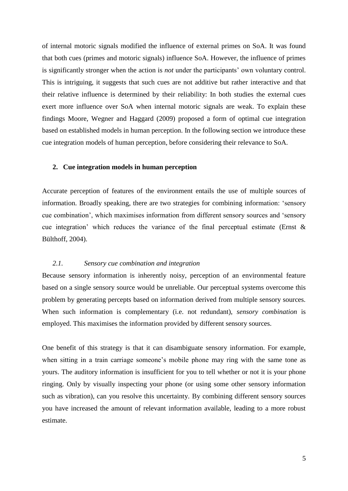of internal motoric signals modified the influence of external primes on SoA. It was found that both cues (primes and motoric signals) influence SoA. However, the influence of primes is significantly stronger when the action is *not* under the participants' own voluntary control. This is intriguing, it suggests that such cues are not additive but rather interactive and that their relative influence is determined by their reliability: In both studies the external cues exert more influence over SoA when internal motoric signals are weak. To explain these findings Moore, Wegner and Haggard (2009) proposed a form of optimal cue integration based on established models in human perception. In the following section we introduce these cue integration models of human perception, before considering their relevance to SoA.

# **2. Cue integration models in human perception**

Accurate perception of features of the environment entails the use of multiple sources of information. Broadly speaking, there are two strategies for combining information: 'sensory cue combination', which maximises information from different sensory sources and 'sensory cue integration' which reduces the variance of the final perceptual estimate (Ernst & Bülthoff, 2004).

#### *2.1. Sensory cue combination and integration*

Because sensory information is inherently noisy, perception of an environmental feature based on a single sensory source would be unreliable. Our perceptual systems overcome this problem by generating percepts based on information derived from multiple sensory sources. When such information is complementary (i.e. not redundant), *sensory combination* is employed. This maximises the information provided by different sensory sources.

One benefit of this strategy is that it can disambiguate sensory information. For example, when sitting in a train carriage someone's mobile phone may ring with the same tone as yours. The auditory information is insufficient for you to tell whether or not it is your phone ringing. Only by visually inspecting your phone (or using some other sensory information such as vibration), can you resolve this uncertainty. By combining different sensory sources you have increased the amount of relevant information available, leading to a more robust estimate.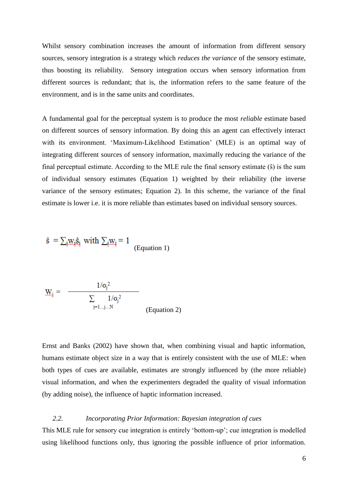Whilst sensory combination increases the amount of information from different sensory sources, sensory integration is a strategy which *reduces the variance* of the sensory estimate, thus boosting its reliability. Sensory integration occurs when sensory information from different sources is redundant; that is, the information refers to the same feature of the environment, and is in the same units and coordinates.

A fundamental goal for the perceptual system is to produce the most *reliable* estimate based on different sources of sensory information. By doing this an agent can effectively interact with its environment. 'Maximum-Likelihood Estimation' (MLE) is an optimal way of integrating different sources of sensory information, maximally reducing the variance of the final perceptual estimate. According to the MLE rule the final sensory estimate (ŝ) is the sum of individual sensory estimates (Equation 1) weighted by their reliability (the inverse variance of the sensory estimates; Equation 2). In this scheme, the variance of the final estimate is lower i.e. it is more reliable than estimates based on individual sensory sources.

$$
\hat{s} = \sum_{i} w_{i} \hat{s}_{i} \text{ with } \sum_{i} w_{i} = 1
$$
 (Equation 1)

$$
\underline{W}_{j} = \frac{1/\sigma_{j}^{2}}{\sum_{j=1...j...N} 1/\sigma_{j}^{2}}
$$
\n(Equation 2)

Ernst and Banks (2002) have shown that, when combining visual and haptic information, humans estimate object size in a way that is entirely consistent with the use of MLE: when both types of cues are available, estimates are strongly influenced by (the more reliable) visual information, and when the experimenters degraded the quality of visual information (by adding noise), the influence of haptic information increased.

# *2.2. Incorporating Prior Information: Bayesian integration of cues*

This MLE rule for sensory cue integration is entirely 'bottom-up'; cue integration is modelled using likelihood functions only, thus ignoring the possible influence of prior information.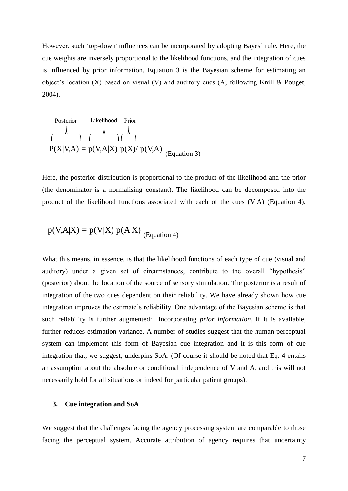However, such 'top-down' influences can be incorporated by adopting Bayes' rule. Here, the cue weights are inversely proportional to the likelihood functions, and the integration of cues is influenced by prior information. Equation 3 is the Bayesian scheme for estimating an object's location (X) based on visual (V) and auditory cues (A; following Knill & Pouget, 2004).

P(X|V,A) = p(V,A|X) p(X)/ p(V,A) Posterior Likelihood Prior (Equation 3)

Here, the posterior distribution is proportional to the product of the likelihood and the prior (the denominator is a normalising constant). The likelihood can be decomposed into the product of the likelihood functions associated with each of the cues (V,A) (Equation 4).

$$
p(V, A|X) = p(V|X) p(A|X)_{(Equation 4)}
$$

What this means, in essence, is that the likelihood functions of each type of cue (visual and auditory) under a given set of circumstances, contribute to the overall "hypothesis" (posterior) about the location of the source of sensory stimulation. The posterior is a result of integration of the two cues dependent on their reliability. We have already shown how cue integration improves the estimate's reliability. One advantage of the Bayesian scheme is that such reliability is further augmented: incorporating *prior information*, if it is available, further reduces estimation variance. A number of studies suggest that the human perceptual system can implement this form of Bayesian cue integration and it is this form of cue integration that, we suggest, underpins SoA. (Of course it should be noted that Eq. 4 entails an assumption about the absolute or conditional independence of V and A, and this will not necessarily hold for all situations or indeed for particular patient groups).

#### **3. Cue integration and SoA**

We suggest that the challenges facing the agency processing system are comparable to those facing the perceptual system. Accurate attribution of agency requires that uncertainty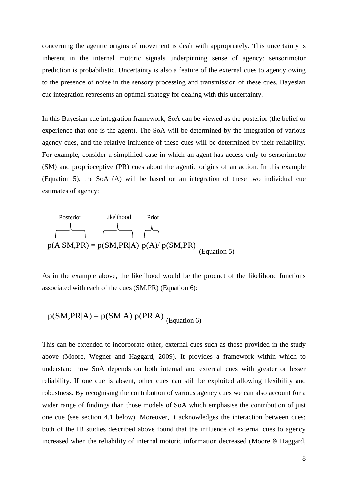concerning the agentic origins of movement is dealt with appropriately. This uncertainty is inherent in the internal motoric signals underpinning sense of agency: sensorimotor prediction is probabilistic. Uncertainty is also a feature of the external cues to agency owing to the presence of noise in the sensory processing and transmission of these cues. Bayesian cue integration represents an optimal strategy for dealing with this uncertainty.

In this Bayesian cue integration framework, SoA can be viewed as the posterior (the belief or experience that one is the agent). The SoA will be determined by the integration of various agency cues, and the relative influence of these cues will be determined by their reliability. For example, consider a simplified case in which an agent has access only to sensorimotor (SM) and proprioceptive (PR) cues about the agentic origins of an action. In this example (Equation 5), the SoA (A) will be based on an integration of these two individual cue estimates of agency:

Posterior

\nLikelihood

\nPrior

\n
$$
\downarrow
$$
\n
$$
p(A|SM,PR) = p(SM,PR|A) \cdot p(A) / p(SM,PR)
$$
\n(Equation 5)

As in the example above, the likelihood would be the product of the likelihood functions associated with each of the cues (SM,PR) (Equation 6):

 $p(SM, PR|A) = p(SM|A) p(PR|A)$  (Equation 6)

This can be extended to incorporate other, external cues such as those provided in the study above (Moore, Wegner and Haggard, 2009). It provides a framework within which to understand how SoA depends on both internal and external cues with greater or lesser reliability. If one cue is absent, other cues can still be exploited allowing flexibility and robustness. By recognising the contribution of various agency cues we can also account for a wider range of findings than those models of SoA which emphasise the contribution of just one cue (see section 4.1 below). Moreover, it acknowledges the interaction between cues: both of the IB studies described above found that the influence of external cues to agency increased when the reliability of internal motoric information decreased (Moore & Haggard,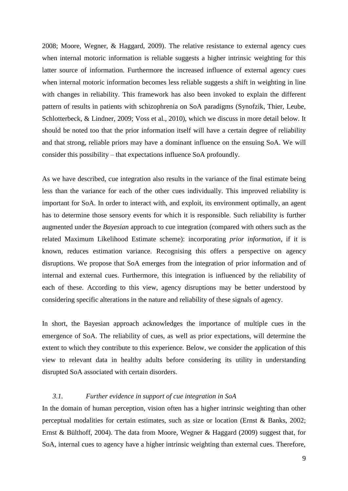2008; Moore, Wegner, & Haggard, 2009). The relative resistance to external agency cues when internal motoric information is reliable suggests a higher intrinsic weighting for this latter source of information. Furthermore the increased influence of external agency cues when internal motoric information becomes less reliable suggests a shift in weighting in line with changes in reliability. This framework has also been invoked to explain the different pattern of results in patients with schizophrenia on SoA paradigms (Synofzik, Thier, Leube, Schlotterbeck, & Lindner, 2009; Voss et al., 2010), which we discuss in more detail below. It should be noted too that the prior information itself will have a certain degree of reliability and that strong, reliable priors may have a dominant influence on the ensuing SoA. We will consider this possibility – that expectations influence SoA profoundly.

As we have described, cue integration also results in the variance of the final estimate being less than the variance for each of the other cues individually. This improved reliability is important for SoA. In order to interact with, and exploit, its environment optimally, an agent has to determine those sensory events for which it is responsible. Such reliability is further augmented under the *Bayesian* approach to cue integration (compared with others such as the related Maximum Likelihood Estimate scheme): incorporating *prior information*, if it is known, reduces estimation variance. Recognising this offers a perspective on agency disruptions. We propose that SoA emerges from the integration of prior information and of internal and external cues. Furthermore, this integration is influenced by the reliability of each of these. According to this view, agency disruptions may be better understood by considering specific alterations in the nature and reliability of these signals of agency.

In short, the Bayesian approach acknowledges the importance of multiple cues in the emergence of SoA. The reliability of cues, as well as prior expectations, will determine the extent to which they contribute to this experience. Below, we consider the application of this view to relevant data in healthy adults before considering its utility in understanding disrupted SoA associated with certain disorders.

# *3.1. Further evidence in support of cue integration in SoA*

In the domain of human perception, vision often has a higher intrinsic weighting than other perceptual modalities for certain estimates, such as size or location (Ernst & Banks, 2002; Ernst & Bülthoff, 2004). The data from Moore, Wegner & Haggard (2009) suggest that, for SoA, internal cues to agency have a higher intrinsic weighting than external cues. Therefore,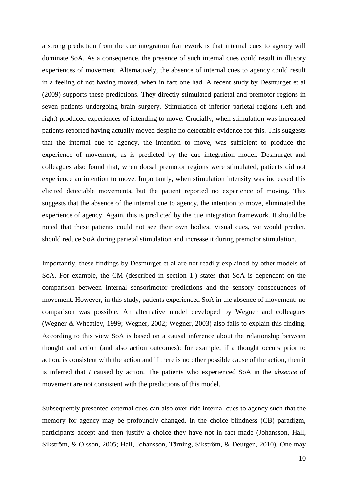a strong prediction from the cue integration framework is that internal cues to agency will dominate SoA. As a consequence, the presence of such internal cues could result in illusory experiences of movement. Alternatively, the absence of internal cues to agency could result in a feeling of not having moved, when in fact one had. A recent study by Desmurget et al (2009) supports these predictions. They directly stimulated parietal and premotor regions in seven patients undergoing brain surgery. Stimulation of inferior parietal regions (left and right) produced experiences of intending to move. Crucially, when stimulation was increased patients reported having actually moved despite no detectable evidence for this. This suggests that the internal cue to agency, the intention to move, was sufficient to produce the experience of movement, as is predicted by the cue integration model. Desmurget and colleagues also found that, when dorsal premotor regions were stimulated, patients did not experience an intention to move. Importantly, when stimulation intensity was increased this elicited detectable movements, but the patient reported no experience of moving. This suggests that the absence of the internal cue to agency, the intention to move, eliminated the experience of agency. Again, this is predicted by the cue integration framework. It should be noted that these patients could not see their own bodies. Visual cues, we would predict, should reduce SoA during parietal stimulation and increase it during premotor stimulation.

Importantly, these findings by Desmurget et al are not readily explained by other models of SoA. For example, the CM (described in section 1.) states that SoA is dependent on the comparison between internal sensorimotor predictions and the sensory consequences of movement. However, in this study, patients experienced SoA in the absence of movement: no comparison was possible. An alternative model developed by Wegner and colleagues (Wegner & Wheatley, 1999; Wegner, 2002; Wegner, 2003) also fails to explain this finding. According to this view SoA is based on a causal inference about the relationship between thought and action (and also action outcomes): for example, if a thought occurs prior to action, is consistent with the action and if there is no other possible cause of the action, then it is inferred that *I* caused by action. The patients who experienced SoA in the *absence* of movement are not consistent with the predictions of this model.

Subsequently presented external cues can also over-ride internal cues to agency such that the memory for agency may be profoundly changed. In the choice blindness (CB) paradigm, participants accept and then justify a choice they have not in fact made (Johansson, Hall, Sikström, & Olsson, 2005; Hall, Johansson, Tärning, Sikström, & Deutgen, 2010). One may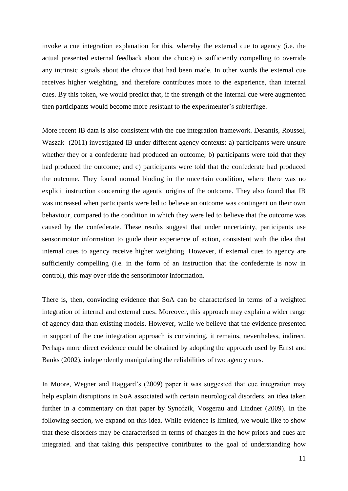invoke a cue integration explanation for this, whereby the external cue to agency (i.e. the actual presented external feedback about the choice) is sufficiently compelling to override any intrinsic signals about the choice that had been made. In other words the external cue receives higher weighting, and therefore contributes more to the experience, than internal cues. By this token, we would predict that, if the strength of the internal cue were augmented then participants would become more resistant to the experimenter's subterfuge.

More recent IB data is also consistent with the cue integration framework. Desantis, Roussel, Waszak (2011) investigated IB under different agency contexts: a) participants were unsure whether they or a confederate had produced an outcome; b) participants were told that they had produced the outcome; and c) participants were told that the confederate had produced the outcome. They found normal binding in the uncertain condition, where there was no explicit instruction concerning the agentic origins of the outcome. They also found that IB was increased when participants were led to believe an outcome was contingent on their own behaviour, compared to the condition in which they were led to believe that the outcome was caused by the confederate. These results suggest that under uncertainty, participants use sensorimotor information to guide their experience of action, consistent with the idea that internal cues to agency receive higher weighting. However, if external cues to agency are sufficiently compelling (i.e. in the form of an instruction that the confederate is now in control), this may over-ride the sensorimotor information.

There is, then, convincing evidence that SoA can be characterised in terms of a weighted integration of internal and external cues. Moreover, this approach may explain a wider range of agency data than existing models. However, while we believe that the evidence presented in support of the cue integration approach is convincing, it remains, nevertheless, indirect. Perhaps more direct evidence could be obtained by adopting the approach used by Ernst and Banks (2002), independently manipulating the reliabilities of two agency cues.

In Moore, Wegner and Haggard's (2009) paper it was suggested that cue integration may help explain disruptions in SoA associated with certain neurological disorders, an idea taken further in a commentary on that paper by Synofzik, Vosgerau and Lindner (2009). In the following section, we expand on this idea. While evidence is limited, we would like to show that these disorders may be characterised in terms of changes in the how priors and cues are integrated. and that taking this perspective contributes to the goal of understanding how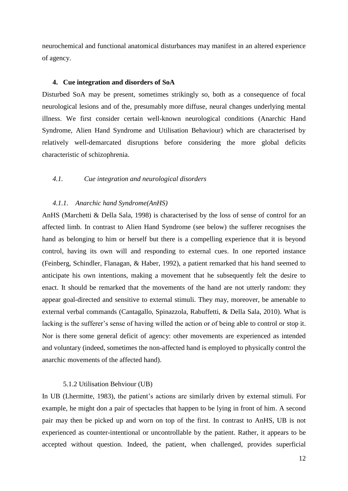neurochemical and functional anatomical disturbances may manifest in an altered experience of agency.

#### **4. Cue integration and disorders of SoA**

Disturbed SoA may be present, sometimes strikingly so, both as a consequence of focal neurological lesions and of the, presumably more diffuse, neural changes underlying mental illness. We first consider certain well-known neurological conditions (Anarchic Hand Syndrome, Alien Hand Syndrome and Utilisation Behaviour) which are characterised by relatively well-demarcated disruptions before considering the more global deficits characteristic of schizophrenia.

#### *4.1. Cue integration and neurological disorders*

#### *4.1.1. Anarchic hand Syndrome(AnHS)*

AnHS (Marchetti & Della Sala, 1998) is characterised by the loss of sense of control for an affected limb. In contrast to Alien Hand Syndrome (see below) the sufferer recognises the hand as belonging to him or herself but there is a compelling experience that it is beyond control, having its own will and responding to external cues. In one reported instance (Feinberg, Schindler, Flanagan, & Haber, 1992), a patient remarked that his hand seemed to anticipate his own intentions, making a movement that he subsequently felt the desire to enact. It should be remarked that the movements of the hand are not utterly random: they appear goal-directed and sensitive to external stimuli. They may, moreover, be amenable to external verbal commands (Cantagallo, Spinazzola, Rabuffetti, & Della Sala, 2010). What is lacking is the sufferer's sense of having willed the action or of being able to control or stop it. Nor is there some general deficit of agency: other movements are experienced as intended and voluntary (indeed, sometimes the non-affected hand is employed to physically control the anarchic movements of the affected hand).

# 5.1.2 Utilisation Behviour (UB)

In UB (Lhermitte, 1983), the patient's actions are similarly driven by external stimuli. For example, he might don a pair of spectacles that happen to be lying in front of him. A second pair may then be picked up and worn on top of the first. In contrast to AnHS, UB is not experienced as counter-intentional or uncontrollable by the patient. Rather, it appears to be accepted without question. Indeed, the patient, when challenged, provides superficial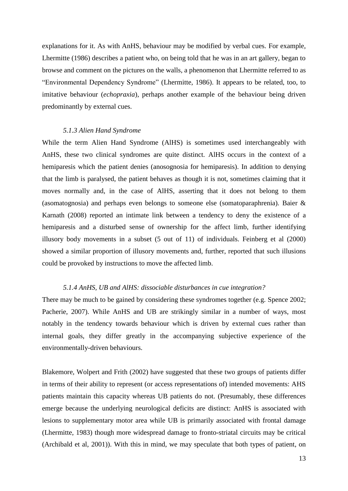explanations for it. As with AnHS, behaviour may be modified by verbal cues. For example, Lhermitte (1986) describes a patient who, on being told that he was in an art gallery, began to browse and comment on the pictures on the walls, a phenomenon that Lhermitte referred to as "Environmental Dependency Syndrome" (Lhermitte, 1986). It appears to be related, too, to imitative behaviour (*echopraxia*), perhaps another example of the behaviour being driven predominantly by external cues.

#### *5.1.3 Alien Hand Syndrome*

While the term Alien Hand Syndrome (AlHS) is sometimes used interchangeably with AnHS, these two clinical syndromes are quite distinct. AlHS occurs in the context of a hemiparesis which the patient denies (anosognosia for hemiparesis). In addition to denying that the limb is paralysed, the patient behaves as though it is not, sometimes claiming that it moves normally and, in the case of AlHS, asserting that it does not belong to them (asomatognosia) and perhaps even belongs to someone else (somatoparaphrenia). Baier & Karnath (2008) reported an intimate link between a tendency to deny the existence of a hemiparesis and a disturbed sense of ownership for the affect limb, further identifying illusory body movements in a subset (5 out of 11) of individuals. Feinberg et al (2000) showed a similar proportion of illusory movements and, further, reported that such illusions could be provoked by instructions to move the affected limb.

# *5.1.4 AnHS, UB and AlHS: dissociable disturbances in cue integration?*

There may be much to be gained by considering these syndromes together (e.g. Spence 2002; Pacherie, 2007). While AnHS and UB are strikingly similar in a number of ways, most notably in the tendency towards behaviour which is driven by external cues rather than internal goals, they differ greatly in the accompanying subjective experience of the environmentally-driven behaviours.

Blakemore, Wolpert and Frith (2002) have suggested that these two groups of patients differ in terms of their ability to represent (or access representations of) intended movements: AHS patients maintain this capacity whereas UB patients do not. (Presumably, these differences emerge because the underlying neurological deficits are distinct: AnHS is associated with lesions to supplementary motor area while UB is primarily associated with frontal damage (Lhermitte, 1983) though more widespread damage to fronto-striatal circuits may be critical (Archibald et al, 2001)). With this in mind, we may speculate that both types of patient, on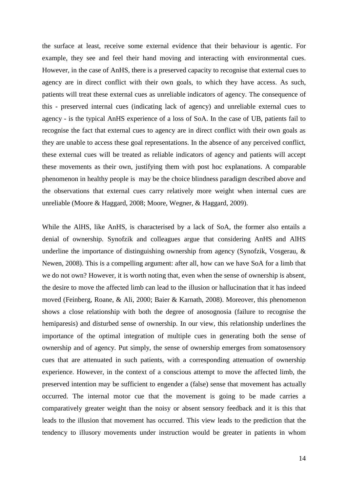the surface at least, receive some external evidence that their behaviour is agentic. For example, they see and feel their hand moving and interacting with environmental cues. However, in the case of AnHS, there is a preserved capacity to recognise that external cues to agency are in direct conflict with their own goals, to which they have access. As such, patients will treat these external cues as unreliable indicators of agency. The consequence of this - preserved internal cues (indicating lack of agency) and unreliable external cues to agency - is the typical AnHS experience of a loss of SoA. In the case of UB, patients fail to recognise the fact that external cues to agency are in direct conflict with their own goals as they are unable to access these goal representations. In the absence of any perceived conflict, these external cues will be treated as reliable indicators of agency and patients will accept these movements as their own, justifying them with post hoc explanations. A comparable phenomenon in healthy people is may be the choice blindness paradigm described above and the observations that external cues carry relatively more weight when internal cues are unreliable (Moore & Haggard, 2008; Moore, Wegner, & Haggard, 2009).

While the AlHS, like AnHS, is characterised by a lack of SoA, the former also entails a denial of ownership. Synofzik and colleagues argue that considering AnHS and AlHS underline the importance of distinguishing ownership from agency (Synofzik, Vosgerau, & Newen, 2008). This is a compelling argument: after all, how can we have SoA for a limb that we do not own? However, it is worth noting that, even when the sense of ownership is absent, the desire to move the affected limb can lead to the illusion or hallucination that it has indeed moved (Feinberg, Roane, & Ali, 2000; Baier & Karnath, 2008). Moreover, this phenomenon shows a close relationship with both the degree of anosognosia (failure to recognise the hemiparesis) and disturbed sense of ownership. In our view, this relationship underlines the importance of the optimal integration of multiple cues in generating both the sense of ownership and of agency. Put simply, the sense of ownership emerges from somatosensory cues that are attenuated in such patients, with a corresponding attenuation of ownership experience. However, in the context of a conscious attempt to move the affected limb, the preserved intention may be sufficient to engender a (false) sense that movement has actually occurred. The internal motor cue that the movement is going to be made carries a comparatively greater weight than the noisy or absent sensory feedback and it is this that leads to the illusion that movement has occurred. This view leads to the prediction that the tendency to illusory movements under instruction would be greater in patients in whom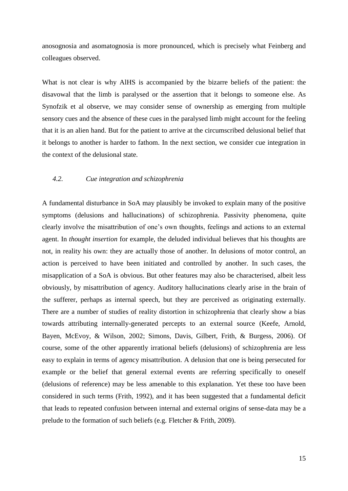anosognosia and asomatognosia is more pronounced, which is precisely what Feinberg and colleagues observed.

What is not clear is why AlHS is accompanied by the bizarre beliefs of the patient: the disavowal that the limb is paralysed or the assertion that it belongs to someone else. As Synofzik et al observe, we may consider sense of ownership as emerging from multiple sensory cues and the absence of these cues in the paralysed limb might account for the feeling that it is an alien hand. But for the patient to arrive at the circumscribed delusional belief that it belongs to another is harder to fathom. In the next section, we consider cue integration in the context of the delusional state.

# *4.2. Cue integration and schizophrenia*

A fundamental disturbance in SoA may plausibly be invoked to explain many of the positive symptoms (delusions and hallucinations) of schizophrenia. Passivity phenomena, quite clearly involve the misattribution of one's own thoughts, feelings and actions to an external agent. In *thought insertion* for example, the deluded individual believes that his thoughts are not, in reality his own: they are actually those of another. In delusions of motor control, an action is perceived to have been initiated and controlled by another. In such cases, the misapplication of a SoA is obvious. But other features may also be characterised, albeit less obviously, by misattribution of agency. Auditory hallucinations clearly arise in the brain of the sufferer, perhaps as internal speech, but they are perceived as originating externally. There are a number of studies of reality distortion in schizophrenia that clearly show a bias towards attributing internally-generated percepts to an external source (Keefe, Arnold, Bayen, McEvoy, & Wilson, 2002; Simons, Davis, Gilbert, Frith, & Burgess, 2006). Of course, some of the other apparently irrational beliefs (delusions) of schizophrenia are less easy to explain in terms of agency misattribution. A delusion that one is being persecuted for example or the belief that general external events are referring specifically to oneself (delusions of reference) may be less amenable to this explanation. Yet these too have been considered in such terms (Frith, 1992), and it has been suggested that a fundamental deficit that leads to repeated confusion between internal and external origins of sense-data may be a prelude to the formation of such beliefs (e.g. Fletcher & Frith, 2009).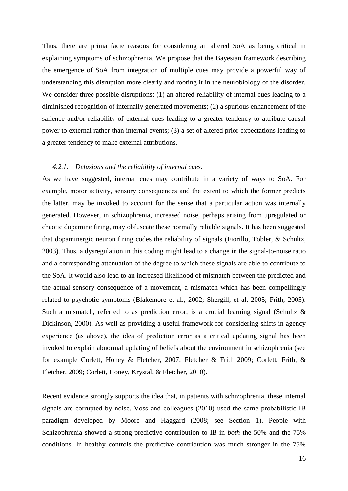Thus, there are prima facie reasons for considering an altered SoA as being critical in explaining symptoms of schizophrenia. We propose that the Bayesian framework describing the emergence of SoA from integration of multiple cues may provide a powerful way of understanding this disruption more clearly and rooting it in the neurobiology of the disorder. We consider three possible disruptions: (1) an altered reliability of internal cues leading to a diminished recognition of internally generated movements; (2) a spurious enhancement of the salience and/or reliability of external cues leading to a greater tendency to attribute causal power to external rather than internal events; (3) a set of altered prior expectations leading to a greater tendency to make external attributions.

# *4.2.1. Delusions and the reliability of internal cues.*

As we have suggested, internal cues may contribute in a variety of ways to SoA. For example, motor activity, sensory consequences and the extent to which the former predicts the latter, may be invoked to account for the sense that a particular action was internally generated. However, in schizophrenia, increased noise, perhaps arising from upregulated or chaotic dopamine firing, may obfuscate these normally reliable signals. It has been suggested that dopaminergic neuron firing codes the reliability of signals (Fiorillo, Tobler, & Schultz, 2003). Thus, a dysregulation in this coding might lead to a change in the signal-to-noise ratio and a corresponding attenuation of the degree to which these signals are able to contribute to the SoA. It would also lead to an increased likelihood of mismatch between the predicted and the actual sensory consequence of a movement, a mismatch which has been compellingly related to psychotic symptoms (Blakemore et al., 2002; Shergill, et al, 2005; Frith, 2005). Such a mismatch, referred to as prediction error, is a crucial learning signal (Schultz  $\&$ Dickinson, 2000). As well as providing a useful framework for considering shifts in agency experience (as above), the idea of prediction error as a critical updating signal has been invoked to explain abnormal updating of beliefs about the environment in schizophrenia (see for example Corlett, Honey & Fletcher, 2007; Fletcher & Frith 2009; Corlett, Frith, & Fletcher, 2009; Corlett, Honey, Krystal, & Fletcher, 2010).

Recent evidence strongly supports the idea that, in patients with schizophrenia, these internal signals are corrupted by noise. Voss and colleagues (2010) used the same probabilistic IB paradigm developed by Moore and Haggard (2008; see Section 1). People with Schizophrenia showed a strong predictive contribution to IB in *both* the 50% and the 75% conditions. In healthy controls the predictive contribution was much stronger in the 75%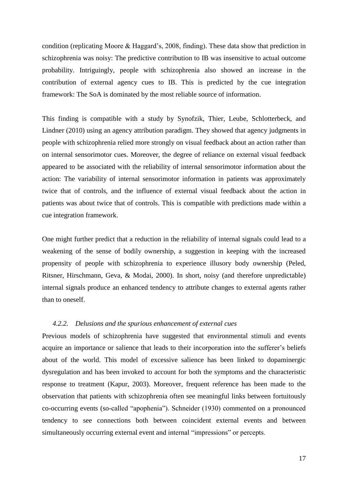condition (replicating Moore & Haggard's, 2008, finding). These data show that prediction in schizophrenia was noisy: The predictive contribution to IB was insensitive to actual outcome probability. Intriguingly, people with schizophrenia also showed an increase in the contribution of external agency cues to IB. This is predicted by the cue integration framework: The SoA is dominated by the most reliable source of information.

This finding is compatible with a study by Synofzik, Thier, Leube, Schlotterbeck, and Lindner (2010) using an agency attribution paradigm. They showed that agency judgments in people with schizophrenia relied more strongly on visual feedback about an action rather than on internal sensorimotor cues. Moreover, the degree of reliance on external visual feedback appeared to be associated with the reliability of internal sensorimotor information about the action: The variability of internal sensorimotor information in patients was approximately twice that of controls, and the influence of external visual feedback about the action in patients was about twice that of controls. This is compatible with predictions made within a cue integration framework.

One might further predict that a reduction in the reliability of internal signals could lead to a weakening of the sense of bodily ownership, a suggestion in keeping with the increased propensity of people with schizophrenia to experience illusory body ownership (Peled, Ritsner, Hirschmann, Geva, & Modai, 2000). In short, noisy (and therefore unpredictable) internal signals produce an enhanced tendency to attribute changes to external agents rather than to oneself.

# *4.2.2. Delusions and the spurious enhancement of external cues*

Previous models of schizophrenia have suggested that environmental stimuli and events acquire an importance or salience that leads to their incorporation into the sufferer's beliefs about of the world. This model of excessive salience has been linked to dopaminergic dysregulation and has been invoked to account for both the symptoms and the characteristic response to treatment (Kapur, 2003). Moreover, frequent reference has been made to the observation that patients with schizophrenia often see meaningful links between fortuitously co-occurring events (so-called "apophenia"). Schneider (1930) commented on a pronounced tendency to see connections both between coincident external events and between simultaneously occurring external event and internal "impressions" or percepts.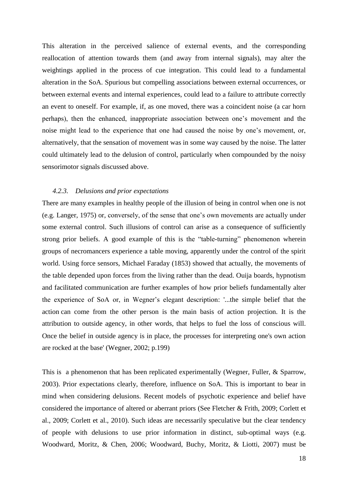This alteration in the perceived salience of external events, and the corresponding reallocation of attention towards them (and away from internal signals), may alter the weightings applied in the process of cue integration. This could lead to a fundamental alteration in the SoA. Spurious but compelling associations between external occurrences, or between external events and internal experiences, could lead to a failure to attribute correctly an event to oneself. For example, if, as one moved, there was a coincident noise (a car horn perhaps), then the enhanced, inappropriate association between one's movement and the noise might lead to the experience that one had caused the noise by one's movement, or, alternatively, that the sensation of movement was in some way caused by the noise. The latter could ultimately lead to the delusion of control, particularly when compounded by the noisy sensorimotor signals discussed above.

#### *4.2.3. Delusions and prior expectations*

There are many examples in healthy people of the illusion of being in control when one is not (e.g. Langer, 1975) or, conversely, of the sense that one's own movements are actually under some external control. Such illusions of control can arise as a consequence of sufficiently strong prior beliefs. A good example of this is the "table-turning" phenomenon wherein groups of necromancers experience a table moving, apparently under the control of the spirit world. Using force sensors, Michael Faraday (1853) showed that actually, the movements of the table depended upon forces from the living rather than the dead. Ouija boards, hypnotism and facilitated communication are further examples of how prior beliefs fundamentally alter the experience of SoA or, in Wegner's elegant description: '...the simple belief that the action can come from the other person is the main basis of action projection. It is the attribution to outside agency, in other words, that helps to fuel the loss of conscious will. Once the belief in outside agency is in place, the processes for interpreting one's own action are rocked at the base' (Wegner, 2002; p.199)

This is a phenomenon that has been replicated experimentally (Wegner, Fuller, & Sparrow, 2003). Prior expectations clearly, therefore, influence on SoA. This is important to bear in mind when considering delusions. Recent models of psychotic experience and belief have considered the importance of altered or aberrant priors (See Fletcher & Frith, 2009; Corlett et al., 2009; Corlett et al., 2010). Such ideas are necessarily speculative but the clear tendency of people with delusions to use prior information in distinct, sub-optimal ways (e.g. Woodward, Moritz, & Chen, 2006; Woodward, Buchy, Moritz, & Liotti, 2007) must be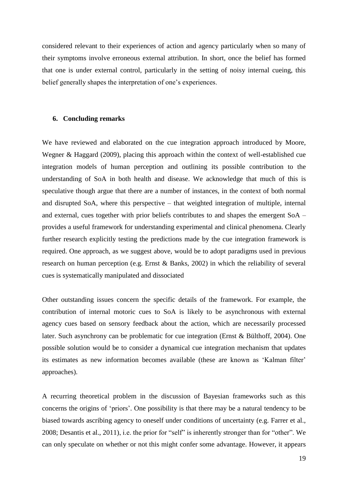considered relevant to their experiences of action and agency particularly when so many of their symptoms involve erroneous external attribution. In short, once the belief has formed that one is under external control, particularly in the setting of noisy internal cueing, this belief generally shapes the interpretation of one's experiences.

#### **6. Concluding remarks**

We have reviewed and elaborated on the cue integration approach introduced by Moore, Wegner & Haggard (2009), placing this approach within the context of well-established cue integration models of human perception and outlining its possible contribution to the understanding of SoA in both health and disease. We acknowledge that much of this is speculative though argue that there are a number of instances, in the context of both normal and disrupted SoA, where this perspective – that weighted integration of multiple, internal and external, cues together with prior beliefs contributes to and shapes the emergent SoA – provides a useful framework for understanding experimental and clinical phenomena. Clearly further research explicitly testing the predictions made by the cue integration framework is required. One approach, as we suggest above, would be to adopt paradigms used in previous research on human perception (e.g. Ernst & Banks, 2002) in which the reliability of several cues is systematically manipulated and dissociated

Other outstanding issues concern the specific details of the framework. For example, the contribution of internal motoric cues to SoA is likely to be asynchronous with external agency cues based on sensory feedback about the action, which are necessarily processed later. Such asynchrony can be problematic for cue integration (Ernst & Bülthoff, 2004). One possible solution would be to consider a dynamical cue integration mechanism that updates its estimates as new information becomes available (these are known as 'Kalman filter' approaches).

A recurring theoretical problem in the discussion of Bayesian frameworks such as this concerns the origins of 'priors'. One possibility is that there may be a natural tendency to be biased towards ascribing agency to oneself under conditions of uncertainty (e.g. Farrer et al., 2008; Desantis et al., 2011), i.e. the prior for "self" is inherently stronger than for "other". We can only speculate on whether or not this might confer some advantage. However, it appears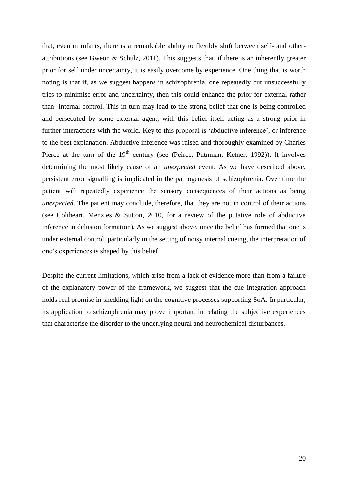that, even in infants, there is a remarkable ability to flexibly shift between self- and otherattributions (see Gweon & Schulz, 2011). This suggests that, if there is an inherently greater prior for self under uncertainty, it is easily overcome by experience. One thing that is worth noting is that if, as we suggest happens in schizophrenia, one repeatedly but unsuccessfully tries to minimise error and uncertainty, then this could enhance the prior for external rather than internal control. This in turn may lead to the strong belief that one is being controlled and persecuted by some external agent, with this belief itself acting as a strong prior in further interactions with the world. Key to this proposal is 'abductive inference', or inference to the best explanation. Abductive inference was raised and thoroughly examined by Charles Pierce at the turn of the  $19<sup>th</sup>$  century (see (Peirce, Putnman, Ketner, 1992)). It involves determining the most likely cause of an *unexpected* event. As we have described above, persistent error signalling is implicated in the pathogenesis of schizophrenia. Over time the patient will repeatedly experience the sensory consequences of their actions as being *unexpected*. The patient may conclude, therefore, that they are not in control of their actions (see Coltheart, Menzies & Sutton, 2010, for a review of the putative role of abductive inference in delusion formation). As we suggest above, once the belief has formed that one is under external control, particularly in the setting of noisy internal cueing, the interpretation of one's experiences is shaped by this belief.

Despite the current limitations, which arise from a lack of evidence more than from a failure of the explanatory power of the framework, we suggest that the cue integration approach holds real promise in shedding light on the cognitive processes supporting SoA. In particular, its application to schizophrenia may prove important in relating the subjective experiences that characterise the disorder to the underlying neural and neurochemical disturbances.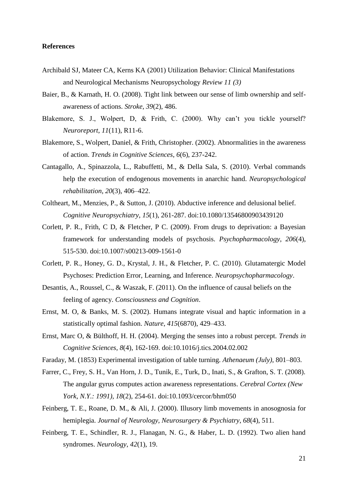# **References**

- Archibald SJ, Mateer CA, Kerns KA (2001) Utilization Behavior: Clinical Manifestations and Neurological Mechanisms Neuropsychology *Review 11 (3)*
- Baier, B., & Karnath, H. O. (2008). Tight link between our sense of limb ownership and selfawareness of actions. *Stroke*, *39*(2), 486.
- Blakemore, S. J., Wolpert, D. & Frith, C. (2000). Why can't you tickle yourself? *Neuroreport*, *11*(11), R11-6.
- Blakemore, S., Wolpert, Daniel, & Frith, Christopher. (2002). Abnormalities in the awareness of action. *Trends in Cognitive Sciences*, *6*(6), 237-242.
- Cantagallo, A., Spinazzola, L., Rabuffetti, M., & Della Sala, S. (2010). Verbal commands help the execution of endogenous movements in anarchic hand. *Neuropsychological rehabilitation*, *20*(3), 406–422.
- Coltheart, M., Menzies, P., & Sutton, J. (2010). Abductive inference and delusional belief. *Cognitive Neuropsychiatry*, *15*(1), 261-287. doi:10.1080/13546800903439120
- Corlett, P. R., Frith, C D, & Fletcher, P C. (2009). From drugs to deprivation: a Bayesian framework for understanding models of psychosis. *Psychopharmacology*, *206*(4), 515-530. doi:10.1007/s00213-009-1561-0
- Corlett, P. R., Honey, G. D., Krystal, J. H., & Fletcher, P. C. (2010). Glutamatergic Model Psychoses: Prediction Error, Learning, and Inference. *Neuropsychopharmacology*.
- Desantis, A., Roussel, C., & Waszak, F. (2011). On the influence of causal beliefs on the feeling of agency. *Consciousness and Cognition*.
- Ernst, M. O, & Banks, M. S. (2002). Humans integrate visual and haptic information in a statistically optimal fashion. *Nature*, *415*(6870), 429–433.
- Ernst, Marc O, & Bülthoff, H. H. (2004). Merging the senses into a robust percept. *Trends in Cognitive Sciences*, *8*(4), 162-169. doi:10.1016/j.tics.2004.02.002
- Faraday, M. (1853) Experimental investigation of table turning. *Athenaeum (July)*, 801–803.
- Farrer, C., Frey, S. H., Van Horn, J. D., Tunik, E., Turk, D., Inati, S., & Grafton, S. T. (2008). The angular gyrus computes action awareness representations. *Cerebral Cortex (New York, N.Y.: 1991)*, *18*(2), 254-61. doi:10.1093/cercor/bhm050
- Feinberg, T. E., Roane, D. M., & Ali, J. (2000). Illusory limb movements in anosognosia for hemiplegia. *Journal of Neurology, Neurosurgery & Psychiatry*, *68*(4), 511.
- Feinberg, T. E., Schindler, R. J., Flanagan, N. G., & Haber, L. D. (1992). Two alien hand syndromes. *Neurology*, *42*(1), 19.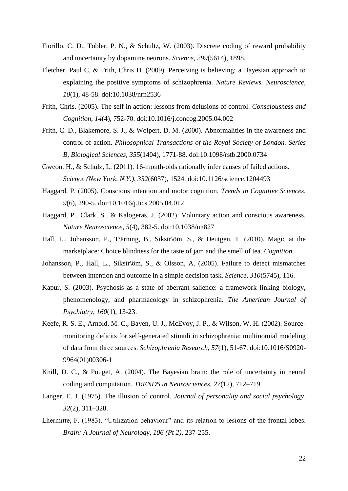- Fiorillo, C. D., Tobler, P. N., & Schultz, W. (2003). Discrete coding of reward probability and uncertainty by dopamine neurons. *Science*, *299*(5614), 1898.
- Fletcher, Paul C, & Frith, Chris D. (2009). Perceiving is believing: a Bayesian approach to explaining the positive symptoms of schizophrenia. *Nature Reviews. Neuroscience*, *10*(1), 48-58. doi:10.1038/nrn2536
- Frith, Chris. (2005). The self in action: lessons from delusions of control. *Consciousness and Cognition*, *14*(4), 752-70. doi:10.1016/j.concog.2005.04.002
- Frith, C. D., Blakemore, S. J., & Wolpert, D. M. (2000). Abnormalities in the awareness and control of action. *Philosophical Transactions of the Royal Society of London. Series B, Biological Sciences*, *355*(1404), 1771-88. doi:10.1098/rstb.2000.0734
- Gweon, H., & Schulz, L. (2011). 16-month-olds rationally infer causes of failed actions. *Science (New York, N.Y.)*, *332*(6037), 1524. doi:10.1126/science.1204493
- Haggard, P. (2005). Conscious intention and motor cognition. *Trends in Cognitive Sciences*, *9*(6), 290-5. doi:10.1016/j.tics.2005.04.012
- Haggard, P., Clark, S., & Kalogeras, J. (2002). Voluntary action and conscious awareness. *Nature Neuroscience*, *5*(4), 382-5. doi:10.1038/nn827
- Hall, L., Johansson, P., T\ärning, B., Sikstr\öm, S., & Deutgen, T. (2010). Magic at the marketplace: Choice blindness for the taste of jam and the smell of tea. *Cognition*.
- Johansson, P., Hall, L., Sikstr\öm, S., & Olsson, A. (2005). Failure to detect mismatches between intention and outcome in a simple decision task. *Science*, *310*(5745), 116.
- Kapur, S. (2003). Psychosis as a state of aberrant salience: a framework linking biology, phenomenology, and pharmacology in schizophrenia. *The American Journal of Psychiatry*, *160*(1), 13-23.
- Keefe, R. S. E., Arnold, M. C., Bayen, U. J., McEvoy, J. P., & Wilson, W. H. (2002). Sourcemonitoring deficits for self-generated stimuli in schizophrenia: multinomial modeling of data from three sources. *Schizophrenia Research*, *57*(1), 51-67. doi:10.1016/S0920- 9964(01)00306-1
- Knill, D. C., & Pouget, A. (2004). The Bayesian brain: the role of uncertainty in neural coding and computation. *TRENDS in Neurosciences*, *27*(12), 712–719.
- Langer, E. J. (1975). The illusion of control. *Journal of personality and social psychology*, *32*(2), 311–328.
- Lhermitte, F. (1983). "Utilization behaviour" and its relation to lesions of the frontal lobes. *Brain: A Journal of Neurology*, *106 (Pt 2)*, 237-255.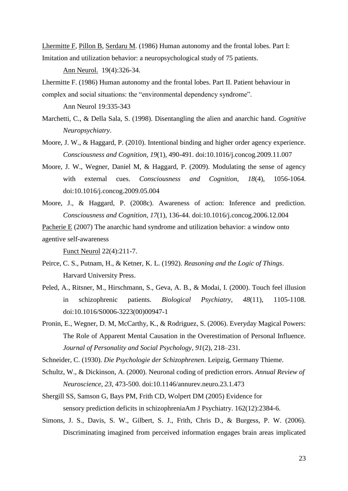[Lhermitte F,](http://www.ncbi.nlm.nih.gov/pubmed?term=%22Lhermitte%20F%22%5BAuthor%5D) [Pillon B,](http://www.ncbi.nlm.nih.gov/pubmed?term=%22Pillon%20B%22%5BAuthor%5D) [Serdaru M.](http://www.ncbi.nlm.nih.gov/pubmed?term=%22Serdaru%20M%22%5BAuthor%5D) (1986) Human autonomy and the frontal lobes. Part I: Imitation and utilization behavior: a neuropsychological study of 75 patients.

[Ann Neurol.](javascript:AL_get(this,%20) 19(4):326-34.

Lhermitte F. (1986) Human autonomy and the frontal lobes. Part II. Patient behaviour in complex and social situations: the "environmental dependency syndrome".

Ann Neurol 19:335-343

- Marchetti, C., & Della Sala, S. (1998). Disentangling the alien and anarchic hand. *Cognitive Neuropsychiatry*.
- Moore, J. W., & Haggard, P. (2010). Intentional binding and higher order agency experience. *Consciousness and Cognition*, *19*(1), 490-491. doi:10.1016/j.concog.2009.11.007
- Moore, J. W., Wegner, Daniel M, & Haggard, P. (2009). Modulating the sense of agency with external cues. *Consciousness and Cognition*, *18*(4), 1056-1064. doi:10.1016/j.concog.2009.05.004
- Moore, J., & Haggard, P. (2008c). Awareness of action: Inference and prediction. *Consciousness and Cognition*, *17*(1), 136-44. doi:10.1016/j.concog.2006.12.004

[Pacherie E](http://www.ncbi.nlm.nih.gov/pubmed?term=%22Pacherie%20E%22%5BAuthor%5D) (2007) The anarchic hand syndrome and utilization behavior: a window onto agentive self-awareness

[Funct Neurol](javascript:AL_get(this,%20) 22(4):211-7.

- Peirce, C. S., Putnam, H., & Ketner, K. L. (1992). *Reasoning and the Logic of Things*. Harvard University Press.
- Peled, A., Ritsner, M., Hirschmann, S., Geva, A. B., & Modai, I. (2000). Touch feel illusion in schizophrenic patients. *Biological Psychiatry*, *48*(11), 1105-1108. doi:10.1016/S0006-3223(00)00947-1
- Pronin, E., Wegner, D. M, McCarthy, K., & Rodriguez, S. (2006). Everyday Magical Powers: The Role of Apparent Mental Causation in the Overestimation of Personal Influence. *Journal of Personality and Social Psychology*, *91*(2), 218–231.

Schneider, C. (1930). *Die Psychologie der Schizophrenen*. Leipzig, Germany Thieme.

- Schultz, W., & Dickinson, A. (2000). Neuronal coding of prediction errors. *Annual Review of Neuroscience*, *23*, 473-500. doi:10.1146/annurev.neuro.23.1.473
- [Shergill SS,](http://www.ncbi.nlm.nih.gov/pubmed?term=%22Shergill%20SS%22%5BAuthor%5D) [Samson G,](http://www.ncbi.nlm.nih.gov/pubmed?term=%22Samson%20G%22%5BAuthor%5D) [Bays](http://www.ncbi.nlm.nih.gov/pubmed?term=%22Bays%20PM%22%5BAuthor%5D) PM, [Frith CD,](http://www.ncbi.nlm.nih.gov/pubmed?term=%22Frith%20CD%22%5BAuthor%5D) [Wolpert DM](http://www.ncbi.nlm.nih.gov/pubmed?term=%22Wolpert%20DM%22%5BAuthor%5D) (2005) Evidence for sensory prediction deficits in schizophreni[aAm J Psychiatry.](javascript:AL_get(this,%20) 162(12):2384-6.
- Simons, J. S., Davis, S. W., Gilbert, S. J., Frith, Chris D., & Burgess, P. W. (2006). Discriminating imagined from perceived information engages brain areas implicated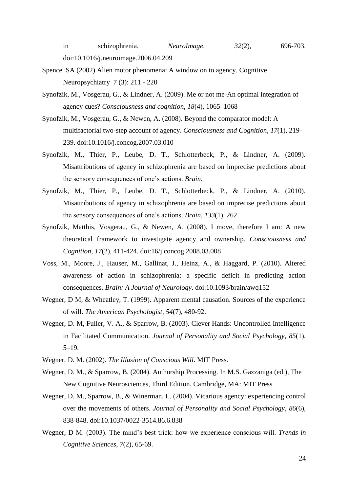in schizophrenia. *NeuroImage*, *32*(2), 696-703. doi:10.1016/j.neuroimage.2006.04.209

- Spence SA (2002) Alien motor phenomena: A window on to agency. Cognitive Neuropsychiatry [7](http://www.informaworld.com/smpp/title~db=all~content=t713659088~tab=issueslist~branches=7) (3): 211 - 220
- Synofzik, M., Vosgerau, G., & Lindner, A. (2009). Me or not me-An optimal integration of agency cues? *Consciousness and cognition*, *18*(4), 1065–1068
- Synofzik, M., Vosgerau, G., & Newen, A. (2008). Beyond the comparator model: A multifactorial two-step account of agency. *Consciousness and Cognition*, *17*(1), 219- 239. doi:10.1016/j.concog.2007.03.010
- Synofzik, M., Thier, P., Leube, D. T., Schlotterbeck, P., & Lindner, A. (2009). Misattributions of agency in schizophrenia are based on imprecise predictions about the sensory consequences of one's actions. *Brain*.
- Synofzik, M., Thier, P., Leube, D. T., Schlotterbeck, P., & Lindner, A. (2010). Misattributions of agency in schizophrenia are based on imprecise predictions about the sensory consequences of one's actions. *Brain*, *133*(1), 262.
- Synofzik, Matthis, Vosgerau, G., & Newen, A. (2008). I move, therefore I am: A new theoretical framework to investigate agency and ownership. *Consciousness and Cognition*, *17*(2), 411-424. doi:16/j.concog.2008.03.008
- Voss, M., Moore, J., Hauser, M., Gallinat, J., Heinz, A., & Haggard, P. (2010). Altered awareness of action in schizophrenia: a specific deficit in predicting action consequences. *Brain: A Journal of Neurology*. doi:10.1093/brain/awq152
- Wegner, D M, & Wheatley, T. (1999). Apparent mental causation. Sources of the experience of will. *The American Psychologist*, *54*(7), 480-92.
- Wegner, D. M, Fuller, V. A., & Sparrow, B. (2003). Clever Hands: Uncontrolled Intelligence in Facilitated Communication. *Journal of Personality and Social Psychology*, *85*(1), 5–19.
- Wegner, D. M. (2002). *The Illusion of Conscious Will*. MIT Press.
- Wegner, D. M., & Sparrow, B. (2004). Authorship Processing. In M.S. Gazzaniga (ed.), The New Cognitive Neurosciences, Third Edition. Cambridge, MA: MIT Press
- Wegner, D. M., Sparrow, B., & Winerman, L. (2004). Vicarious agency: experiencing control over the movements of others. *Journal of Personality and Social Psychology*, *86*(6), 838-848. doi:10.1037/0022-3514.86.6.838
- Wegner, D M. (2003). The mind's best trick: how we experience conscious will. *Trends in Cognitive Sciences*, *7*(2), 65-69.